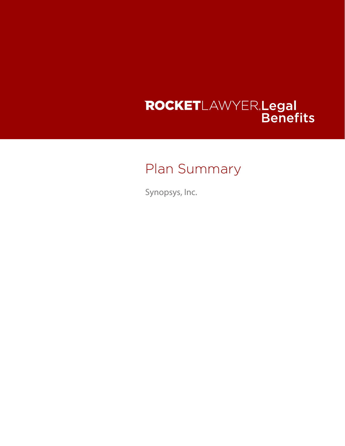# ROCKETLAWYER.Legal<br>Benefits

# Plan Summary

Synopsys, Inc.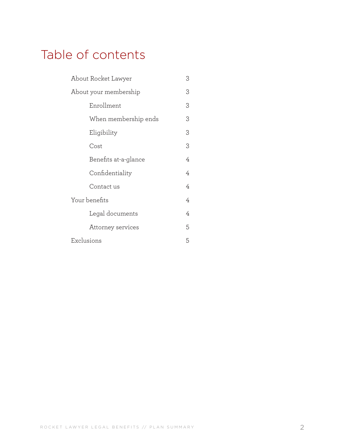## Table of contents

| About Rocket Lawyer   | 3 |
|-----------------------|---|
| About your membership | 3 |
| Enrollment            | 3 |
| When membership ends  | 3 |
| Eligibility           | 3 |
| Cost                  | 3 |
| Benefits at-a-glance  | 4 |
| Confidentiality       | 4 |
| Contact us            | 4 |
| Your benefits         |   |
| Legal documents       | 4 |
| Attorney services     | 5 |
| Exclusions            | 5 |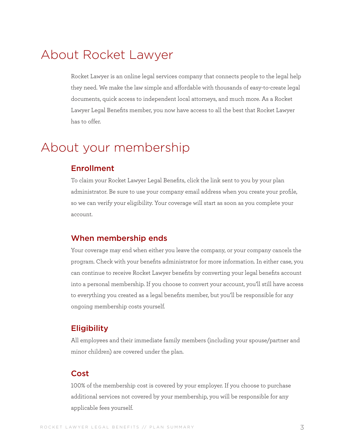## <span id="page-2-0"></span>About Rocket Lawyer

Rocket Lawyer is an online legal services company that connects people to the legal help they need. We make the law simple and affordable with thousands of easy-to-create legal documents, quick access to independent local attorneys, and much more. As a Rocket Lawyer Legal Benefits member, you now have access to all the best that Rocket Lawyer has to offer.

### About your membership

#### Enrollment

To claim your Rocket Lawyer Legal Benefits, click the link sent to you by your plan administrator. Be sure to use your company email address when you create your profile, so we can verify your eligibility. Your coverage will start as soon as you complete your account.

#### When membership ends

Your coverage may end when either you leave the company, or your company cancels the program. Check with your benefits administrator for more information. In either case, you can continue to receive Rocket Lawyer benefits by converting your legal benefits account into a personal membership. If you choose to convert your account, you'll still have access to everything you created as a legal benefits member, but you'll be responsible for any ongoing membership costs yourself.

#### **Eligibility**

All employees and their immediate family members (including your spouse/partner and minor children) are covered under the plan.

#### Cost

100% of the membership cost is covered by your employer. If you choose to purchase additional services not covered by your membership, you will be responsible for any applicable fees yourself.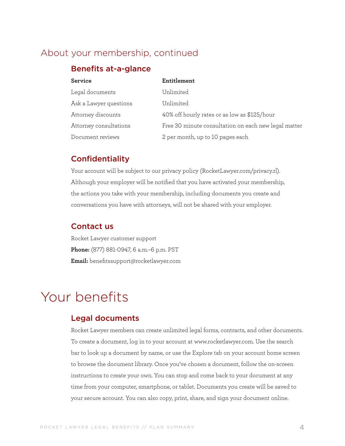#### <span id="page-3-0"></span>About your membership, continued

#### Benefits at-a-glance

| <b>Service</b>         | Entitlement                                          |  |
|------------------------|------------------------------------------------------|--|
| Legal documents        | Unlimited                                            |  |
| Ask a Lawyer questions | Unlimited                                            |  |
| Attorney discounts     | 40% off hourly rates or as low as \$125/hour         |  |
| Attorney consultations | Free 30 minute consultation on each new legal matter |  |
| Document reviews       | 2 per month, up to 10 pages each                     |  |

#### **Confidentiality**

Your account will be subject to our privacy policy (RocketLawyer.com/privacy.rl). Although your employer will be notified that you have activated your membership, the actions you take with your membership, including documents you create and conversations you have with attorneys, will not be shared with your employer.

#### Contact us

Rocket Lawyer customer support **Phone:** (877) 881-0947, 6 a.m.–6 p.m. PST **Email:** benefitssupport@rocketlawyer.com

## Your benefits

#### Legal documents

Rocket Lawyer members can create unlimited legal forms, contracts, and other documents. To create a document, log in to your account at www.rocketlawyer.com. Use the search bar to look up a document by name, or use the Explore tab on your account home screen to browse the document library. Once you've chosen a document, follow the on-screen instructions to create your own. You can stop and come back to your document at any time from your computer, smartphone, or tablet. Documents you create will be saved to your secure account. You can also copy, print, share, and sign your document online.